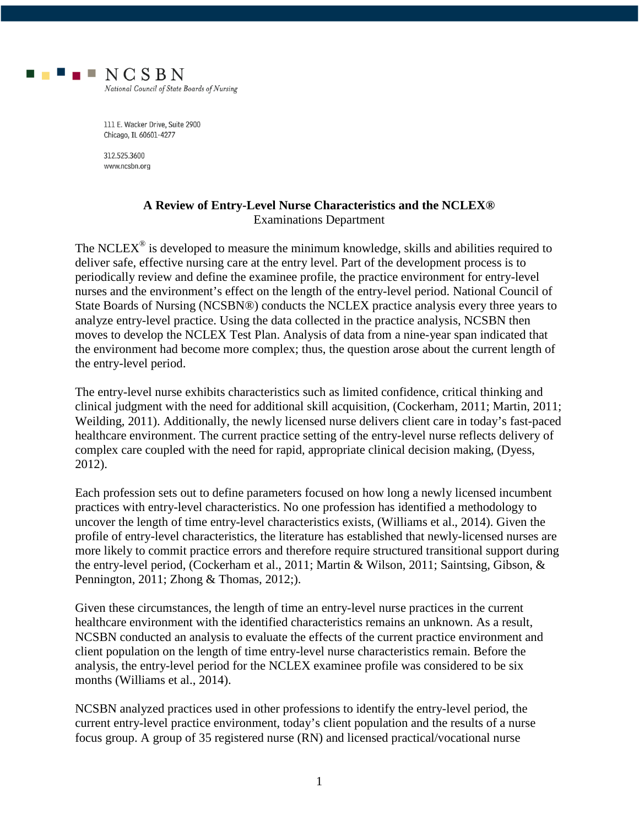

111 E. Wacker Drive, Suite 2900 Chicago, IL 60601-4277

312.525.3600 www.ncsbn.org

## **A Review of Entry-Level Nurse Characteristics and the NCLEX®** Examinations Department

The NCLEX $^{\circ}$  is developed to measure the minimum knowledge, skills and abilities required to deliver safe, effective nursing care at the entry level. Part of the development process is to periodically review and define the examinee profile, the practice environment for entry-level nurses and the environment's effect on the length of the entry-level period. National Council of State Boards of Nursing (NCSBN®) conducts the NCLEX practice analysis every three years to analyze entry-level practice. Using the data collected in the practice analysis, NCSBN then moves to develop the NCLEX Test Plan. Analysis of data from a nine-year span indicated that the environment had become more complex; thus, the question arose about the current length of the entry-level period.

The entry-level nurse exhibits characteristics such as limited confidence, critical thinking and clinical judgment with the need for additional skill acquisition, (Cockerham, 2011; Martin, 2011; Weilding, 2011). Additionally, the newly licensed nurse delivers client care in today's fast-paced healthcare environment. The current practice setting of the entry-level nurse reflects delivery of complex care coupled with the need for rapid, appropriate clinical decision making, (Dyess, 2012).

Each profession sets out to define parameters focused on how long a newly licensed incumbent practices with entry-level characteristics. No one profession has identified a methodology to uncover the length of time entry-level characteristics exists, (Williams et al., 2014). Given the profile of entry-level characteristics, the literature has established that newly-licensed nurses are more likely to commit practice errors and therefore require structured transitional support during the entry-level period, (Cockerham et al., 2011; Martin & Wilson, 2011; Saintsing, Gibson, & Pennington, 2011; Zhong & Thomas, 2012;).

Given these circumstances, the length of time an entry-level nurse practices in the current healthcare environment with the identified characteristics remains an unknown. As a result, NCSBN conducted an analysis to evaluate the effects of the current practice environment and client population on the length of time entry-level nurse characteristics remain. Before the analysis, the entry-level period for the NCLEX examinee profile was considered to be six months (Williams et al., 2014).

NCSBN analyzed practices used in other professions to identify the entry-level period, the current entry-level practice environment, today's client population and the results of a nurse focus group. A group of 35 registered nurse (RN) and licensed practical/vocational nurse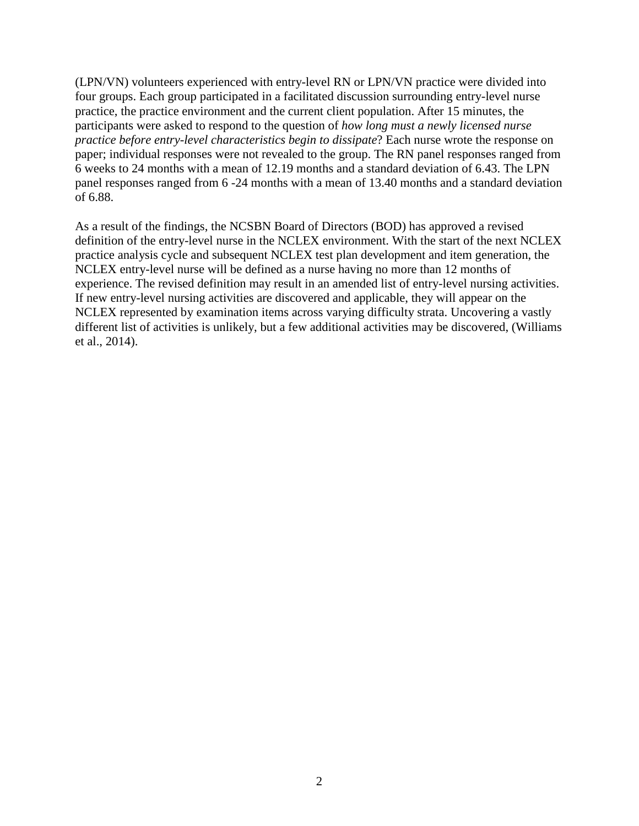(LPN/VN) volunteers experienced with entry-level RN or LPN/VN practice were divided into four groups. Each group participated in a facilitated discussion surrounding entry-level nurse practice, the practice environment and the current client population. After 15 minutes, the participants were asked to respond to the question of *how long must a newly licensed nurse practice before entry-level characteristics begin to dissipate*? Each nurse wrote the response on paper; individual responses were not revealed to the group. The RN panel responses ranged from 6 weeks to 24 months with a mean of 12.19 months and a standard deviation of 6.43. The LPN panel responses ranged from 6 -24 months with a mean of 13.40 months and a standard deviation of 6.88.

As a result of the findings, the NCSBN Board of Directors (BOD) has approved a revised definition of the entry-level nurse in the NCLEX environment. With the start of the next NCLEX practice analysis cycle and subsequent NCLEX test plan development and item generation, the NCLEX entry-level nurse will be defined as a nurse having no more than 12 months of experience. The revised definition may result in an amended list of entry-level nursing activities. If new entry-level nursing activities are discovered and applicable, they will appear on the NCLEX represented by examination items across varying difficulty strata. Uncovering a vastly different list of activities is unlikely, but a few additional activities may be discovered, (Williams et al., 2014).